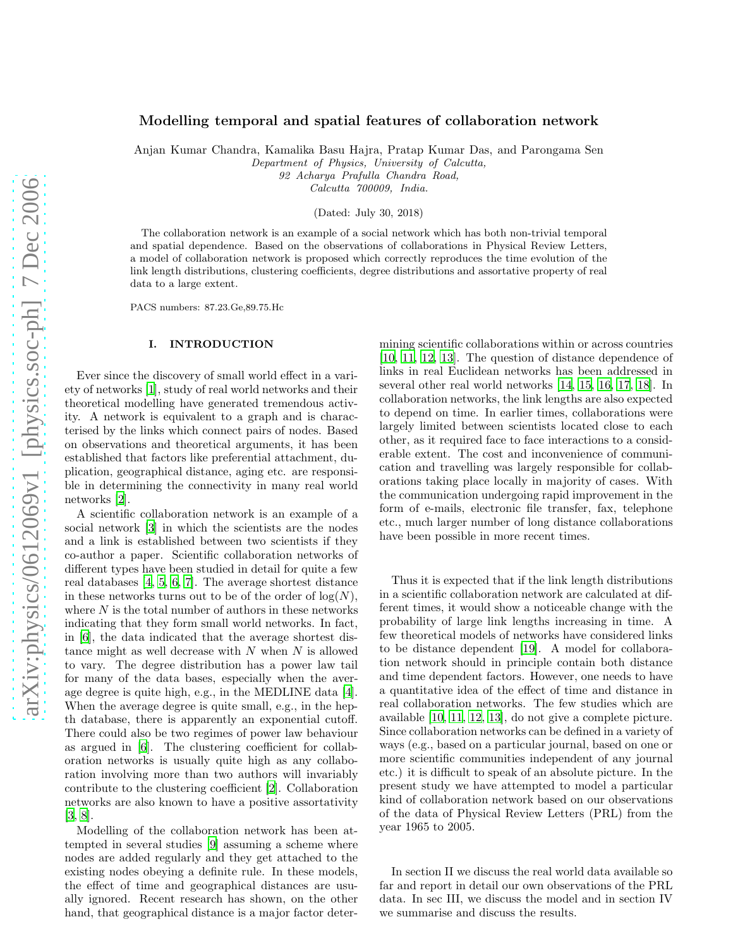# Modelling temporal and spatial features of collaboration network

Anjan Kumar Chandra, Kamalika Basu Hajra, Pratap Kumar Das, and Parongama Sen

*Department of Physics, University of Calcutta,*

*92 Acharya Prafulla Chandra Road,*

*Calcutta 700009, India.*

(Dated: July 30, 2018)

The collaboration network is an example of a social network which has both non-trivial temporal and spatial dependence. Based on the observations of collaborations in Physical Review Letters, a model of collaboration network is proposed which correctly reproduces the time evolution of the link length distributions, clustering coefficients, degree distributions and assortative property of real data to a large extent.

PACS numbers: 87.23.Ge,89.75.Hc

### I. INTRODUCTION

Ever since the discovery of small world effect in a variety of networks [\[1\]](#page-7-0), study of real world networks and their theoretical modelling have generated tremendous activity. A network is equivalent to a graph and is characterised by the links which connect pairs of nodes. Based on observations and theoretical arguments, it has been established that factors like preferential attachment, duplication, geographical distance, aging etc. are responsible in determining the connectivity in many real world networks [\[2\]](#page-7-1).

A scientific collaboration network is an example of a social network [\[3\]](#page-7-2) in which the scientists are the nodes and a link is established between two scientists if they co-author a paper. Scientific collaboration networks of different types have been studied in detail for quite a few real databases [\[4,](#page-7-3) [5,](#page-7-4) [6,](#page-7-5) [7\]](#page-7-6). The average shortest distance in these networks turns out to be of the order of  $log(N)$ , where  $N$  is the total number of authors in these networks indicating that they form small world networks. In fact, in [\[6](#page-7-5)], the data indicated that the average shortest distance might as well decrease with  $N$  when  $N$  is allowed to vary. The degree distribution has a power law tail for many of the data bases, especially when the average degree is quite high, e.g., in the MEDLINE data [\[4\]](#page-7-3). When the average degree is quite small, e.g., in the hepth database, there is apparently an exponential cutoff. There could also be two regimes of power law behaviour as argued in [\[6\]](#page-7-5). The clustering coefficient for collaboration networks is usually quite high as any collaboration involving more than two authors will invariably contribute to the clustering coefficient [\[2\]](#page-7-1). Collaboration networks are also known to have a positive assortativity [\[3,](#page-7-2) [8\]](#page-7-7).

Modelling of the collaboration network has been attempted in several studies [\[9](#page-7-8)] assuming a scheme where nodes are added regularly and they get attached to the existing nodes obeying a definite rule. In these models, the effect of time and geographical distances are usually ignored. Recent research has shown, on the other hand, that geographical distance is a major factor deter-

mining scientific collaborations within or across countries [\[10,](#page-7-9) [11](#page-7-10), [12,](#page-7-11) [13\]](#page-7-12). The question of distance dependence of links in real Euclidean networks has been addressed in several other real world networks [\[14,](#page-7-13) [15](#page-7-14), [16](#page-7-15), [17,](#page-7-16) [18\]](#page-7-17). In collaboration networks, the link lengths are also expected to depend on time. In earlier times, collaborations were largely limited between scientists located close to each other, as it required face to face interactions to a considerable extent. The cost and inconvenience of communication and travelling was largely responsible for collaborations taking place locally in majority of cases. With the communication undergoing rapid improvement in the form of e-mails, electronic file transfer, fax, telephone etc., much larger number of long distance collaborations have been possible in more recent times.

Thus it is expected that if the link length distributions in a scientific collaboration network are calculated at different times, it would show a noticeable change with the probability of large link lengths increasing in time. A few theoretical models of networks have considered links to be distance dependent [\[19\]](#page-7-18). A model for collaboration network should in principle contain both distance and time dependent factors. However, one needs to have a quantitative idea of the effect of time and distance in real collaboration networks. The few studies which are available [\[10,](#page-7-9) [11,](#page-7-10) [12,](#page-7-11) [13\]](#page-7-12), do not give a complete picture. Since collaboration networks can be defined in a variety of ways (e.g., based on a particular journal, based on one or more scientific communities independent of any journal etc.) it is difficult to speak of an absolute picture. In the present study we have attempted to model a particular kind of collaboration network based on our observations of the data of Physical Review Letters (PRL) from the year 1965 to 2005.

In section II we discuss the real world data available so far and report in detail our own observations of the PRL data. In sec III, we discuss the model and in section IV we summarise and discuss the results.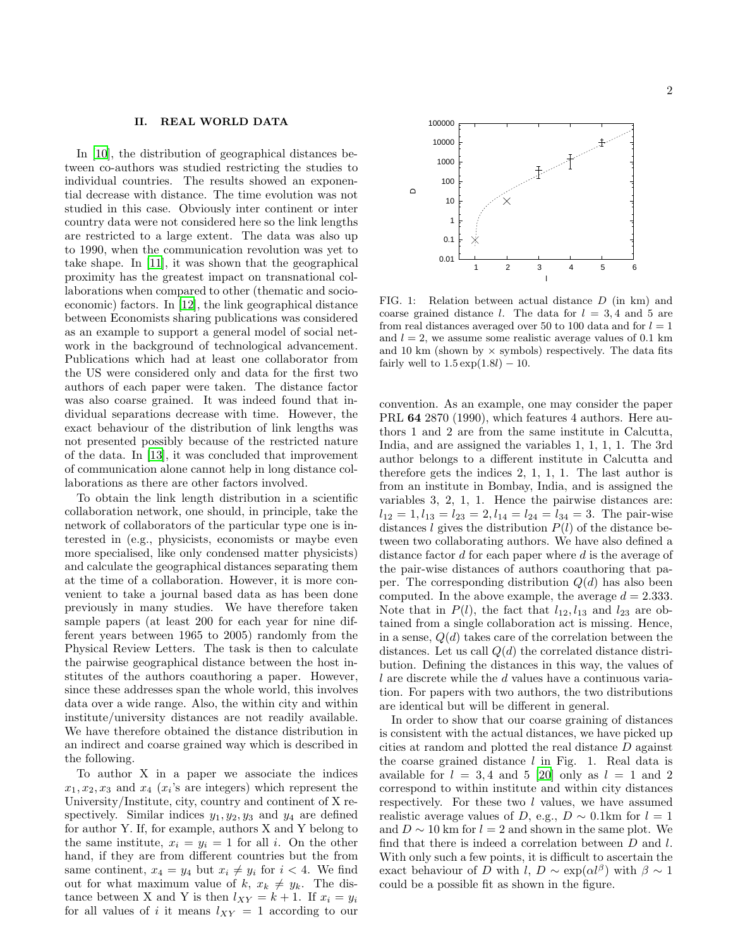#### II. REAL WORLD DATA

In [\[10\]](#page-7-9), the distribution of geographical distances between co-authors was studied restricting the studies to individual countries. The results showed an exponential decrease with distance. The time evolution was not studied in this case. Obviously inter continent or inter country data were not considered here so the link lengths are restricted to a large extent. The data was also up to 1990, when the communication revolution was yet to take shape. In [\[11\]](#page-7-10), it was shown that the geographical proximity has the greatest impact on transnational collaborations when compared to other (thematic and socioeconomic) factors. In [\[12\]](#page-7-11), the link geographical distance between Economists sharing publications was considered as an example to support a general model of social network in the background of technological advancement. Publications which had at least one collaborator from the US were considered only and data for the first two authors of each paper were taken. The distance factor was also coarse grained. It was indeed found that individual separations decrease with time. However, the exact behaviour of the distribution of link lengths was not presented possibly because of the restricted nature of the data. In [\[13\]](#page-7-12), it was concluded that improvement of communication alone cannot help in long distance collaborations as there are other factors involved.

To obtain the link length distribution in a scientific collaboration network, one should, in principle, take the network of collaborators of the particular type one is interested in (e.g., physicists, economists or maybe even more specialised, like only condensed matter physicists) and calculate the geographical distances separating them at the time of a collaboration. However, it is more convenient to take a journal based data as has been done previously in many studies. We have therefore taken sample papers (at least 200 for each year for nine different years between 1965 to 2005) randomly from the Physical Review Letters. The task is then to calculate the pairwise geographical distance between the host institutes of the authors coauthoring a paper. However, since these addresses span the whole world, this involves data over a wide range. Also, the within city and within institute/university distances are not readily available. We have therefore obtained the distance distribution in an indirect and coarse grained way which is described in the following.

To author X in a paper we associate the indices  $x_1, x_2, x_3$  and  $x_4$  ( $x_i$ 's are integers) which represent the University/Institute, city, country and continent of X respectively. Similar indices  $y_1, y_2, y_3$  and  $y_4$  are defined for author Y. If, for example, authors X and Y belong to the same institute,  $x_i = y_i = 1$  for all i. On the other hand, if they are from different countries but the from same continent,  $x_4 = y_4$  but  $x_i \neq y_i$  for  $i < 4$ . We find out for what maximum value of k,  $x_k \neq y_k$ . The distance between X and Y is then  $l_{XY} = k + 1$ . If  $x_i = y_i$ for all values of i it means  $l_{XY} = 1$  according to our



FIG. 1: Relation between actual distance D (in km) and coarse grained distance l. The data for  $l = 3.4$  and 5 are from real distances averaged over 50 to 100 data and for  $l = 1$ and  $l = 2$ , we assume some realistic average values of 0.1 km and 10 km (shown by  $\times$  symbols) respectively. The data fits fairly well to  $1.5 \exp(1.8l) - 10$ .

convention. As an example, one may consider the paper PRL 64 2870 (1990), which features 4 authors. Here authors 1 and 2 are from the same institute in Calcutta, India, and are assigned the variables 1, 1, 1, 1. The 3rd author belongs to a different institute in Calcutta and therefore gets the indices 2, 1, 1, 1. The last author is from an institute in Bombay, India, and is assigned the variables 3, 2, 1, 1. Hence the pairwise distances are:  $l_{12} = 1, l_{13} = l_{23} = 2, l_{14} = l_{24} = l_{34} = 3.$  The pair-wise distances l gives the distribution  $P(l)$  of the distance between two collaborating authors. We have also defined a distance factor d for each paper where d is the average of the pair-wise distances of authors coauthoring that paper. The corresponding distribution  $Q(d)$  has also been computed. In the above example, the average  $d = 2.333$ . Note that in  $P(l)$ , the fact that  $l_{12}$ ,  $l_{13}$  and  $l_{23}$  are obtained from a single collaboration act is missing. Hence, in a sense,  $Q(d)$  takes care of the correlation between the distances. Let us call  $Q(d)$  the correlated distance distribution. Defining the distances in this way, the values of l are discrete while the d values have a continuous variation. For papers with two authors, the two distributions are identical but will be different in general.

In order to show that our coarse graining of distances is consistent with the actual distances, we have picked up cities at random and plotted the real distance D against the coarse grained distance  $l$  in Fig. 1. Real data is available for  $l = 3, 4$  and 5 [\[20](#page-7-19)] only as  $l = 1$  and 2 correspond to within institute and within city distances respectively. For these two  $l$  values, we have assumed realistic average values of D, e.g.,  $D \sim 0.1$ km for  $l = 1$ and  $D \sim 10$  km for  $l = 2$  and shown in the same plot. We find that there is indeed a correlation between  $D$  and  $l$ . With only such a few points, it is difficult to ascertain the exact behaviour of D with  $l, D \sim \exp(\alpha l^{\beta})$  with  $\beta \sim 1$ could be a possible fit as shown in the figure.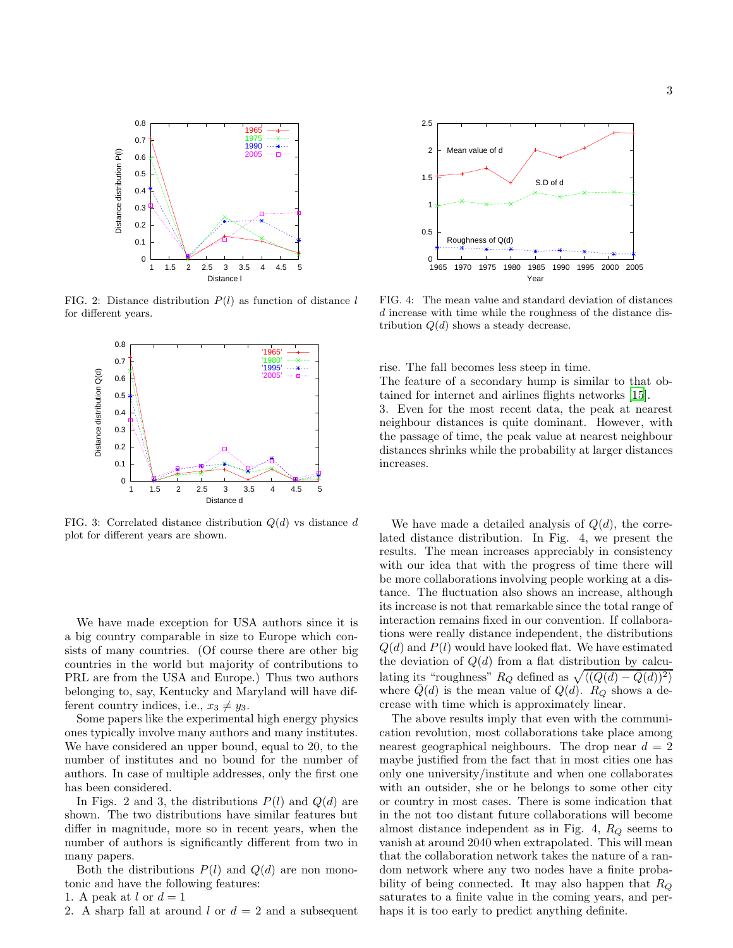

FIG. 2: Distance distribution  $P(l)$  as function of distance l for different years.



FIG. 3: Correlated distance distribution  $Q(d)$  vs distance d plot for different years are shown.

We have made exception for USA authors since it is a big country comparable in size to Europe which consists of many countries. (Of course there are other big countries in the world but majority of contributions to PRL are from the USA and Europe.) Thus two authors belonging to, say, Kentucky and Maryland will have different country indices, i.e.,  $x_3 \neq y_3$ .

Some papers like the experimental high energy physics ones typically involve many authors and many institutes. We have considered an upper bound, equal to 20, to the number of institutes and no bound for the number of authors. In case of multiple addresses, only the first one has been considered.

In Figs. 2 and 3, the distributions  $P(l)$  and  $Q(d)$  are shown. The two distributions have similar features but differ in magnitude, more so in recent years, when the number of authors is significantly different from two in many papers.

Both the distributions  $P(l)$  and  $Q(d)$  are non monotonic and have the following features:

1. A peak at l or  $d=1$ 

2. A sharp fall at around l or  $d = 2$  and a subsequent



FIG. 4: The mean value and standard deviation of distances d increase with time while the roughness of the distance distribution  $Q(d)$  shows a steady decrease.

rise. The fall becomes less steep in time.

The feature of a secondary hump is similar to that obtained for internet and airlines flights networks [\[15](#page-7-14)].

3. Even for the most recent data, the peak at nearest neighbour distances is quite dominant. However, with the passage of time, the peak value at nearest neighbour distances shrinks while the probability at larger distances increases.

We have made a detailed analysis of  $Q(d)$ , the correlated distance distribution. In Fig. 4, we present the results. The mean increases appreciably in consistency with our idea that with the progress of time there will be more collaborations involving people working at a distance. The fluctuation also shows an increase, although its increase is not that remarkable since the total range of interaction remains fixed in our convention. If collaborations were really distance independent, the distributions  $Q(d)$  and  $P(l)$  would have looked flat. We have estimated the deviation of  $Q(d)$  from a flat distribution by calculating its "roughness"  $R_Q$  defined as  $\sqrt{\langle (Q(d) - \bar{Q}(d))^2 \rangle}$ where  $Q(d)$  is the mean value of  $Q(d)$ .  $R_Q$  shows a decrease with time which is approximately linear.

The above results imply that even with the communication revolution, most collaborations take place among nearest geographical neighbours. The drop near  $d = 2$ maybe justified from the fact that in most cities one has only one university/institute and when one collaborates with an outsider, she or he belongs to some other city or country in most cases. There is some indication that in the not too distant future collaborations will become almost distance independent as in Fig. 4,  $R_Q$  seems to vanish at around 2040 when extrapolated. This will mean that the collaboration network takes the nature of a random network where any two nodes have a finite probability of being connected. It may also happen that  $R_Q$ saturates to a finite value in the coming years, and perhaps it is too early to predict anything definite.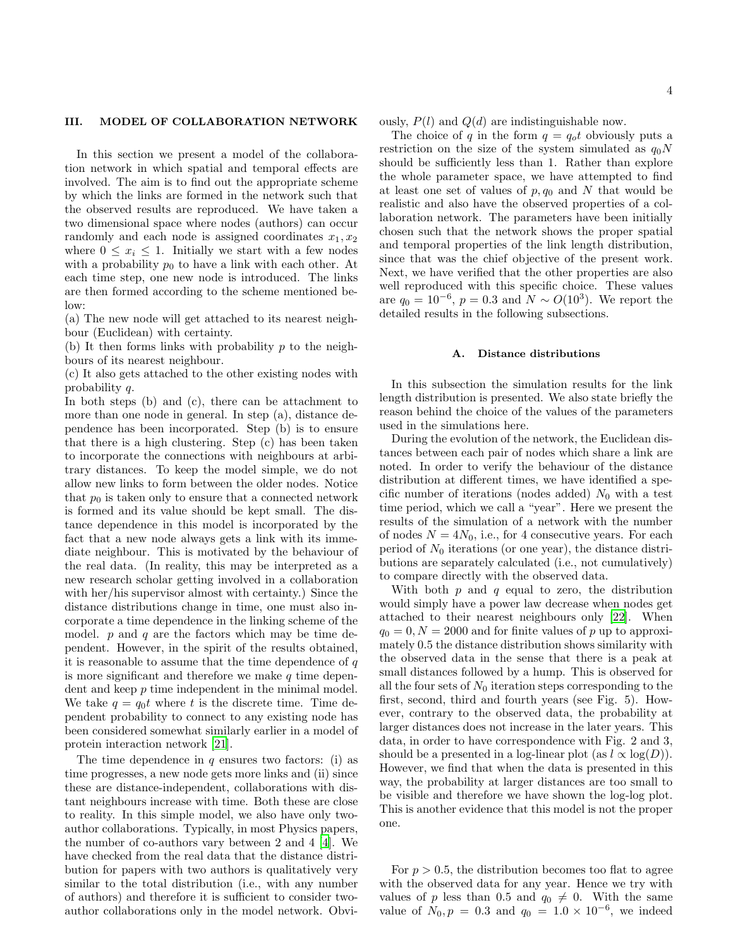### III. MODEL OF COLLABORATION NETWORK

In this section we present a model of the collaboration network in which spatial and temporal effects are involved. The aim is to find out the appropriate scheme by which the links are formed in the network such that the observed results are reproduced. We have taken a two dimensional space where nodes (authors) can occur randomly and each node is assigned coordinates  $x_1, x_2$ where  $0 \leq x_i \leq 1$ . Initially we start with a few nodes with a probability  $p_0$  to have a link with each other. At each time step, one new node is introduced. The links are then formed according to the scheme mentioned below:

(a) The new node will get attached to its nearest neighbour (Euclidean) with certainty.

(b) It then forms links with probability  $p$  to the neighbours of its nearest neighbour.

(c) It also gets attached to the other existing nodes with probability q.

In both steps (b) and (c), there can be attachment to more than one node in general. In step (a), distance dependence has been incorporated. Step (b) is to ensure that there is a high clustering. Step (c) has been taken to incorporate the connections with neighbours at arbitrary distances. To keep the model simple, we do not allow new links to form between the older nodes. Notice that  $p_0$  is taken only to ensure that a connected network is formed and its value should be kept small. The distance dependence in this model is incorporated by the fact that a new node always gets a link with its immediate neighbour. This is motivated by the behaviour of the real data. (In reality, this may be interpreted as a new research scholar getting involved in a collaboration with her/his supervisor almost with certainty.) Since the distance distributions change in time, one must also incorporate a time dependence in the linking scheme of the model.  $p$  and  $q$  are the factors which may be time dependent. However, in the spirit of the results obtained, it is reasonable to assume that the time dependence of  $q$ is more significant and therefore we make  $q$  time dependent and keep  $p$  time independent in the minimal model. We take  $q = q_0 t$  where t is the discrete time. Time dependent probability to connect to any existing node has been considered somewhat similarly earlier in a model of protein interaction network [\[21](#page-7-20)].

The time dependence in  $q$  ensures two factors: (i) as time progresses, a new node gets more links and (ii) since these are distance-independent, collaborations with distant neighbours increase with time. Both these are close to reality. In this simple model, we also have only twoauthor collaborations. Typically, in most Physics papers, the number of co-authors vary between 2 and 4 [\[4](#page-7-3)]. We have checked from the real data that the distance distribution for papers with two authors is qualitatively very similar to the total distribution (i.e., with any number of authors) and therefore it is sufficient to consider twoauthor collaborations only in the model network. Obvi4

ously,  $P(l)$  and  $Q(d)$  are indistinguishable now.

The choice of q in the form  $q = q_0 t$  obviously puts a restriction on the size of the system simulated as  $q_0N$ should be sufficiently less than 1. Rather than explore the whole parameter space, we have attempted to find at least one set of values of  $p, q_0$  and N that would be realistic and also have the observed properties of a collaboration network. The parameters have been initially chosen such that the network shows the proper spatial and temporal properties of the link length distribution, since that was the chief objective of the present work. Next, we have verified that the other properties are also well reproduced with this specific choice. These values are  $q_0 = 10^{-6}$ ,  $p = 0.3$  and  $N \sim O(10^3)$ . We report the detailed results in the following subsections.

### A. Distance distributions

In this subsection the simulation results for the link length distribution is presented. We also state briefly the reason behind the choice of the values of the parameters used in the simulations here.

During the evolution of the network, the Euclidean distances between each pair of nodes which share a link are noted. In order to verify the behaviour of the distance distribution at different times, we have identified a specific number of iterations (nodes added)  $N_0$  with a test time period, which we call a "year". Here we present the results of the simulation of a network with the number of nodes  $N = 4N_0$ , i.e., for 4 consecutive years. For each period of  $N_0$  iterations (or one year), the distance distributions are separately calculated (i.e., not cumulatively) to compare directly with the observed data.

With both  $p$  and  $q$  equal to zero, the distribution would simply have a power law decrease when nodes get attached to their nearest neighbours only [\[22\]](#page-7-21). When  $q_0 = 0, N = 2000$  and for finite values of p up to approximately 0.5 the distance distribution shows similarity with the observed data in the sense that there is a peak at small distances followed by a hump. This is observed for all the four sets of  $N_0$  iteration steps corresponding to the first, second, third and fourth years (see Fig. 5). However, contrary to the observed data, the probability at larger distances does not increase in the later years. This data, in order to have correspondence with Fig. 2 and 3, should be a presented in a log-linear plot (as  $l \propto \log(D)$ ). However, we find that when the data is presented in this way, the probability at larger distances are too small to be visible and therefore we have shown the log-log plot. This is another evidence that this model is not the proper one.

For  $p > 0.5$ , the distribution becomes too flat to agree with the observed data for any year. Hence we try with values of p less than 0.5 and  $q_0 \neq 0$ . With the same value of  $N_0, p = 0.3$  and  $q_0 = 1.0 \times 10^{-6}$ , we indeed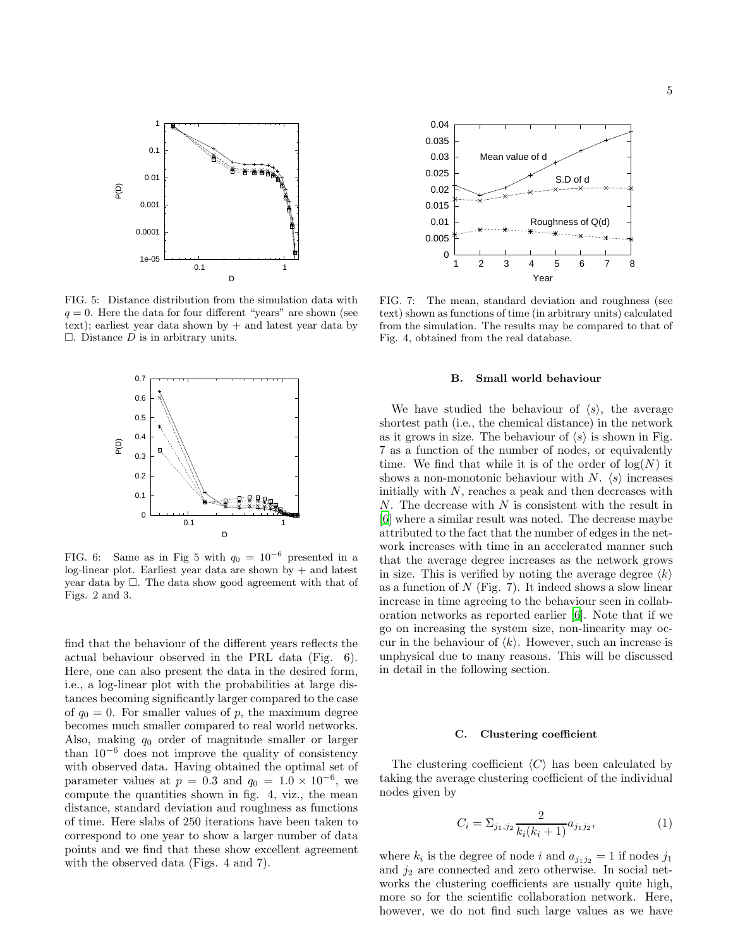

FIG. 5: Distance distribution from the simulation data with  $q = 0$ . Here the data for four different "years" are shown (see text); earliest year data shown by + and latest year data by  $\Box$ . Distance D is in arbitrary units.



FIG. 6: Same as in Fig 5 with  $q_0 = 10^{-6}$  presented in a log-linear plot. Earliest year data are shown by + and latest year data by  $\Box$ . The data show good agreement with that of Figs. 2 and 3.

find that the behaviour of the different years reflects the actual behaviour observed in the PRL data (Fig. 6). Here, one can also present the data in the desired form, i.e., a log-linear plot with the probabilities at large distances becoming significantly larger compared to the case of  $q_0 = 0$ . For smaller values of p, the maximum degree becomes much smaller compared to real world networks. Also, making  $q_0$  order of magnitude smaller or larger than  $10^{-6}$  does not improve the quality of consistency with observed data. Having obtained the optimal set of parameter values at  $p = 0.3$  and  $q_0 = 1.0 \times 10^{-6}$ , we compute the quantities shown in fig. 4, viz., the mean distance, standard deviation and roughness as functions of time. Here slabs of 250 iterations have been taken to correspond to one year to show a larger number of data points and we find that these show excellent agreement with the observed data (Figs. 4 and 7).



FIG. 7: The mean, standard deviation and roughness (see text) shown as functions of time (in arbitrary units) calculated from the simulation. The results may be compared to that of Fig. 4, obtained from the real database.

#### B. Small world behaviour

We have studied the behaviour of  $\langle s \rangle$ , the average shortest path (i.e., the chemical distance) in the network as it grows in size. The behaviour of  $\langle s \rangle$  is shown in Fig. 7 as a function of the number of nodes, or equivalently time. We find that while it is of the order of  $log(N)$  it shows a non-monotonic behaviour with N.  $\langle s \rangle$  increases initially with  $N$ , reaches a peak and then decreases with  $N$ . The decrease with  $N$  is consistent with the result in [\[6\]](#page-7-5) where a similar result was noted. The decrease maybe attributed to the fact that the number of edges in the network increases with time in an accelerated manner such that the average degree increases as the network grows in size. This is verified by noting the average degree  $\langle k \rangle$ as a function of  $N$  (Fig. 7). It indeed shows a slow linear increase in time agreeing to the behaviour seen in collaboration networks as reported earlier [\[6\]](#page-7-5). Note that if we go on increasing the system size, non-linearity may occur in the behaviour of  $\langle k \rangle$ . However, such an increase is unphysical due to many reasons. This will be discussed in detail in the following section.

#### C. Clustering coefficient

The clustering coefficient  $\langle C \rangle$  has been calculated by taking the average clustering coefficient of the individual nodes given by

$$
C_i = \sum_{j_1, j_2} \frac{2}{k_i (k_i + 1)} a_{j_1 j_2},\tag{1}
$$

where  $k_i$  is the degree of node i and  $a_{j_1j_2} = 1$  if nodes  $j_1$ and  $j_2$  are connected and zero otherwise. In social networks the clustering coefficients are usually quite high, more so for the scientific collaboration network. Here, however, we do not find such large values as we have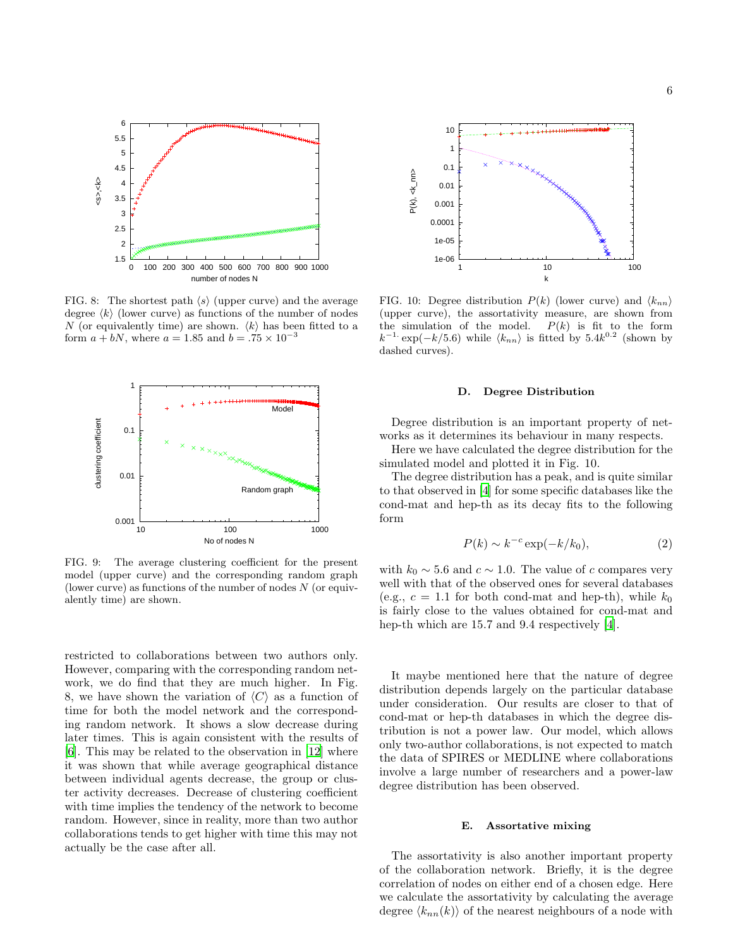

FIG. 8: The shortest path  $\langle s \rangle$  (upper curve) and the average degree  $\langle k \rangle$  (lower curve) as functions of the number of nodes N (or equivalently time) are shown.  $\langle k \rangle$  has been fitted to a form  $a + bN$ , where  $a = 1.85$  and  $b = .75 \times 10^{-3}$ 



FIG. 9: The average clustering coefficient for the present model (upper curve) and the corresponding random graph (lower curve) as functions of the number of nodes  $N$  (or equivalently time) are shown.

restricted to collaborations between two authors only. However, comparing with the corresponding random network, we do find that they are much higher. In Fig. 8, we have shown the variation of  $\langle C \rangle$  as a function of time for both the model network and the corresponding random network. It shows a slow decrease during later times. This is again consistent with the results of [\[6\]](#page-7-5). This may be related to the observation in [\[12\]](#page-7-11) where it was shown that while average geographical distance between individual agents decrease, the group or cluster activity decreases. Decrease of clustering coefficient with time implies the tendency of the network to become random. However, since in reality, more than two author collaborations tends to get higher with time this may not actually be the case after all.



FIG. 10: Degree distribution  $P(k)$  (lower curve) and  $\langle k_{nn} \rangle$ (upper curve), the assortativity measure, are shown from the simulation of the model.  $P(k)$  is fit to the form  $k^{-1}$  exp(-k/5.6) while  $\langle k_{nn} \rangle$  is fitted by 5.4 $k^{0.2}$  (shown by dashed curves).

#### D. Degree Distribution

Degree distribution is an important property of networks as it determines its behaviour in many respects.

Here we have calculated the degree distribution for the simulated model and plotted it in Fig. 10.

The degree distribution has a peak, and is quite similar to that observed in [\[4](#page-7-3)] for some specific databases like the cond-mat and hep-th as its decay fits to the following form

$$
P(k) \sim k^{-c} \exp(-k/k_0),\tag{2}
$$

with  $k_0 \sim 5.6$  and  $c \sim 1.0$ . The value of c compares very well with that of the observed ones for several databases (e.g.,  $c = 1.1$  for both cond-mat and hep-th), while  $k_0$ is fairly close to the values obtained for cond-mat and hep-th which are 15.7 and 9.4 respectively [\[4](#page-7-3)].

It maybe mentioned here that the nature of degree distribution depends largely on the particular database under consideration. Our results are closer to that of cond-mat or hep-th databases in which the degree distribution is not a power law. Our model, which allows only two-author collaborations, is not expected to match the data of SPIRES or MEDLINE where collaborations involve a large number of researchers and a power-law degree distribution has been observed.

#### E. Assortative mixing

The assortativity is also another important property of the collaboration network. Briefly, it is the degree correlation of nodes on either end of a chosen edge. Here we calculate the assortativity by calculating the average degree  $\langle k_{nn}(k) \rangle$  of the nearest neighbours of a node with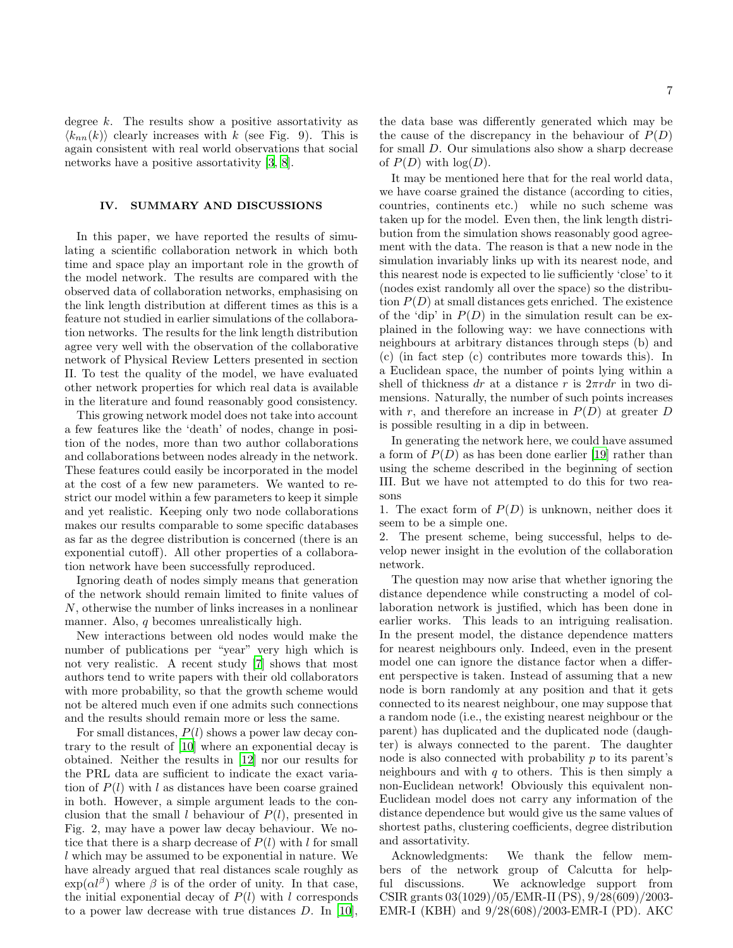degree  $k$ . The results show a positive assortativity as  $\langle k_{nn}(k) \rangle$  clearly increases with k (see Fig. 9). This is again consistent with real world observations that social networks have a positive assortativity [\[3](#page-7-2), [8](#page-7-7)].

## IV. SUMMARY AND DISCUSSIONS

In this paper, we have reported the results of simulating a scientific collaboration network in which both time and space play an important role in the growth of the model network. The results are compared with the observed data of collaboration networks, emphasising on the link length distribution at different times as this is a feature not studied in earlier simulations of the collaboration networks. The results for the link length distribution agree very well with the observation of the collaborative network of Physical Review Letters presented in section II. To test the quality of the model, we have evaluated other network properties for which real data is available in the literature and found reasonably good consistency.

This growing network model does not take into account a few features like the 'death' of nodes, change in position of the nodes, more than two author collaborations and collaborations between nodes already in the network. These features could easily be incorporated in the model at the cost of a few new parameters. We wanted to restrict our model within a few parameters to keep it simple and yet realistic. Keeping only two node collaborations makes our results comparable to some specific databases as far as the degree distribution is concerned (there is an exponential cutoff). All other properties of a collaboration network have been successfully reproduced.

Ignoring death of nodes simply means that generation of the network should remain limited to finite values of N, otherwise the number of links increases in a nonlinear manner. Also, q becomes unrealistically high.

New interactions between old nodes would make the number of publications per "year" very high which is not very realistic. A recent study [\[7\]](#page-7-6) shows that most authors tend to write papers with their old collaborators with more probability, so that the growth scheme would not be altered much even if one admits such connections and the results should remain more or less the same.

For small distances,  $P(l)$  shows a power law decay contrary to the result of [\[10\]](#page-7-9) where an exponential decay is obtained. Neither the results in [\[12\]](#page-7-11) nor our results for the PRL data are sufficient to indicate the exact variation of  $P(l)$  with l as distances have been coarse grained in both. However, a simple argument leads to the conclusion that the small l behaviour of  $P(l)$ , presented in Fig. 2, may have a power law decay behaviour. We notice that there is a sharp decrease of  $P(l)$  with l for small l which may be assumed to be exponential in nature. We have already argued that real distances scale roughly as  $\exp(\alpha l^{\beta})$  where  $\beta$  is of the order of unity. In that case, the initial exponential decay of  $P(l)$  with l corresponds to a power law decrease with true distances D. In [\[10\]](#page-7-9),

the data base was differently generated which may be the cause of the discrepancy in the behaviour of  $P(D)$ for small D. Our simulations also show a sharp decrease of  $P(D)$  with  $log(D)$ .

It may be mentioned here that for the real world data, we have coarse grained the distance (according to cities, countries, continents etc.) while no such scheme was taken up for the model. Even then, the link length distribution from the simulation shows reasonably good agreement with the data. The reason is that a new node in the simulation invariably links up with its nearest node, and this nearest node is expected to lie sufficiently 'close' to it (nodes exist randomly all over the space) so the distribution  $P(D)$  at small distances gets enriched. The existence of the 'dip' in  $P(D)$  in the simulation result can be explained in the following way: we have connections with neighbours at arbitrary distances through steps (b) and (c) (in fact step (c) contributes more towards this). In a Euclidean space, the number of points lying within a shell of thickness dr at a distance r is  $2\pi r dr$  in two dimensions. Naturally, the number of such points increases with r, and therefore an increase in  $P(D)$  at greater D is possible resulting in a dip in between.

In generating the network here, we could have assumed a form of  $P(D)$  as has been done earlier [\[19\]](#page-7-18) rather than using the scheme described in the beginning of section III. But we have not attempted to do this for two reasons

1. The exact form of  $P(D)$  is unknown, neither does it seem to be a simple one.

2. The present scheme, being successful, helps to develop newer insight in the evolution of the collaboration network.

The question may now arise that whether ignoring the distance dependence while constructing a model of collaboration network is justified, which has been done in earlier works. This leads to an intriguing realisation. In the present model, the distance dependence matters for nearest neighbours only. Indeed, even in the present model one can ignore the distance factor when a different perspective is taken. Instead of assuming that a new node is born randomly at any position and that it gets connected to its nearest neighbour, one may suppose that a random node (i.e., the existing nearest neighbour or the parent) has duplicated and the duplicated node (daughter) is always connected to the parent. The daughter node is also connected with probability  $p$  to its parent's neighbours and with  $q$  to others. This is then simply a non-Euclidean network! Obviously this equivalent non-Euclidean model does not carry any information of the distance dependence but would give us the same values of shortest paths, clustering coefficients, degree distribution and assortativity.

Acknowledgments: We thank the fellow members of the network group of Calcutta for helpful discussions. We acknowledge support from CSIR grants 03(1029)/05/EMR-II (PS), 9/28(609)/2003- EMR-I (KBH) and 9/28(608)/2003-EMR-I (PD). AKC